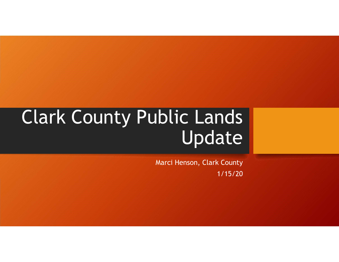## Clark County Public Lands Update

Marci Henson, Clark County 1/15/20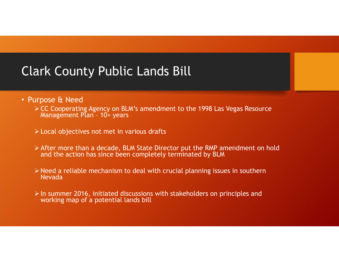## Clark County Public Lands Bill

- Purpose & Need
- ≻ CC Cooperating Agency on BLM's amendment to the 1998 Las Vegas Resource<br>Management Plan 10+ years rk County Public Lands Bill<br>pose & Need<br>CC Cooperating Agency on BLM's amendment to the 1998 Las Vega<br>Management Plan - 10+ years<br>Local objectives not met in various drafts
	- Local objectives not met in various drafts
	- After more than a decade, BLM State Director put the RMP amendment on hold and the action has since been completely terminated by BLM
	- $\triangleright$  Need a reliable mechanism to deal with crucial planning issues in southern Nevada
	- $\triangleright$  In summer 2016, initiated discussions with stakeholders on principles and working map of a potential lands bill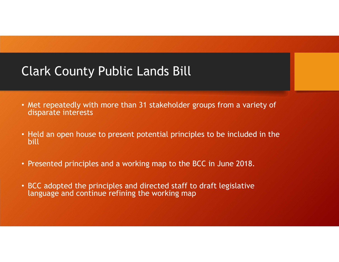## Clark County Public Lands Bill

- Met repeatedly with more than 31 stakeholder groups from a variety of disparate interests
- Held an open house to present potential principles to be included in the bill
- Presented principles and a working map to the BCC in June 2018.
- BCC adopted the principles and directed staff to draft legislative language and continue refining the working map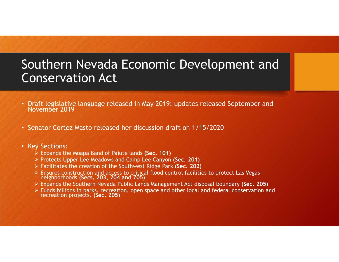# Southern Nevada Economic Development and Conservation Act **Southern Nevada Economic Development and<br>
Conservation Act**<br>
• Draft legislative language released in May 2019; updates released September and<br>
• Senator Cortez Masto released her discussion draft on 1/15/2020<br>
• Key Sect

- Draft legislative language released in May 2019; updates released September and November 2019
- 

#### • Key Sections:

- $\triangleright$  Expands the Moapa Band of Paiute lands (Sec. 101)
- ▶ Protects Upper Lee Meadows and Camp Lee Canyon (Sec. 201)
- Facilitates the creation of the Southwest Ridge Park (Sec. 202)
- Ensures construction and access to critical flood control facilities to protect Las Vegas neighborhoods (Secs. 203, 204 and 705)
- Expands the Southern Nevada Public Lands Management Act disposal boundary (Sec. 205)
- Funds billions in parks, recreation, open space and other local and federal conservation and recreation projects. (Sec. 205)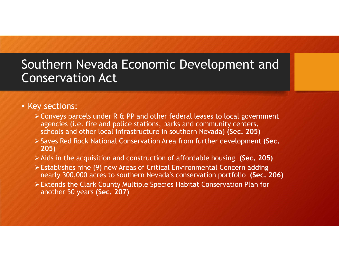#### • Key sections:

- Conveys parcels under R & PP and other federal leases to local government agencies (i.e. fire and police stations, parks and community centers, schools and other local infrastructure in southern Nevada) (Sec. 205)
- Saves Red Rock National Conservation Area from further development (Sec. 205)
- $\triangleright$  Aids in the acquisition and construction of affordable housing (Sec. 205)
- Establishes nine (9) new Areas of Critical Environmental Concern adding nearly 300,000 acres to southern Nevada's conservation portfolio (Sec. 206)
- Extends the Clark County Multiple Species Habitat Conservation Plan for another 50 years (Sec. 207)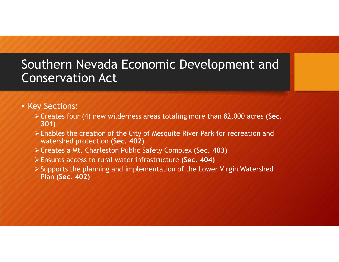- Key Sections:
	- $\triangleright$  Creates four (4) new wilderness areas totaling more than 82,000 acres (Sec. 301)
	- Enables the creation of the City of Mesquite River Park for recreation and watershed protection (Sec. 402)
	- Creates a Mt. Charleston Public Safety Complex (Sec. 403)
	- Ensures access to rural water infrastructure (Sec. 404)
	- $\triangleright$  Supports the planning and implementation of the Lower Virgin Watershed Plan (Sec. 402)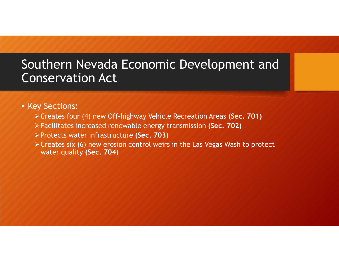#### • Key Sections:

- Creates four (4) new Off-highway Vehicle Recreation Areas (Sec. 701)
- Facilitates increased renewable energy transmission (Sec. 702)
- Protects water infrastructure (Sec. 703)
- Creates six (6) new erosion control weirs in the Las Vegas Wash to protect water quality (Sec. 704)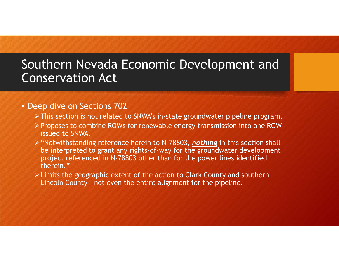#### • Deep dive on Sections 702

- This section is not related to SNWA's in-state groundwater pipeline program.
- Proposes to combine ROWs for renewable energy transmission into one ROW issued to SNWA.
- $\triangleright$  "Notwithstanding reference herein to N-78803, nothing in this section shall be interpreted to grant any rights-of-way for the groundwater development project referenced in N-78803 other than for the power lines identified therein." **ISETVation Act**<br>
Separation is not related to SNWA's in-state groundwater pipeli<br>
Proposes to combine ROWs for renewable energy transmission ir<br>
Sisued to SNWA.<br>
"Notwithstanding reference herein to N-78803, <u>nothing</u> in
- Limits the geographic extent of the action to Clark County and southern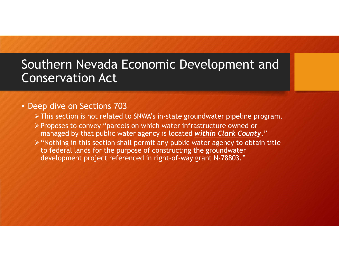#### • Deep dive on Sections 703

- This section is not related to SNWA's in-state groundwater pipeline program.
- Proposes to convey "parcels on which water infrastructure owned or managed by that public water agency is located within Clark County."
- "Nothing in this section shall permit any public water agency to obtain title to federal lands for the purpose of constructing the groundwater development project referenced in right-of-way grant N-78803."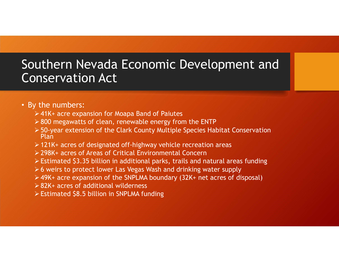#### • By the numbers:

- 41K+ acre expansion for Moapa Band of Paiutes
- $>$  800 megawatts of clean, renewable energy from the ENTP
- 50-year extension of the Clark County Multiple Species Habitat Conservation Plan
- $\geq$  121K+ acres of designated off-highway vehicle recreation areas
- 298K+ acres of Areas of Critical Environmental Concern
- Estimated \$3.35 billion in additional parks, trails and natural areas funding
- $\geq 6$  weirs to protect lower Las Vegas Wash and drinking water supply
- 49K+ acre expansion of the SNPLMA boundary (32K+ net acres of disposal)
- 82K+ acres of additional wilderness
- Estimated \$8.5 billion in SNPLMA funding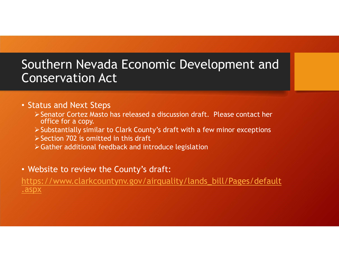# Southern Nevada Economic Development and Conservation Act Uthern Nevada Economic Development and<br>
Inservation Act<br>
Senator Cortez Masto has released a discussion draft. Please contact her<br>
Senator Cortez Masto has released a discussion draft. Please contact her<br>
Selbstantially si

#### • Status and Next Steps

- office for a copy.
- Substantially similar to Clark County's draft with a few minor exceptions
- $\triangleright$  Section 702 is omitted in this draft
- Gather additional feedback and introduce legislation

#### • Website to review the County's draft:

https://www.clarkcountynv.gov/airquality/lands\_bill/Pages/default .aspx